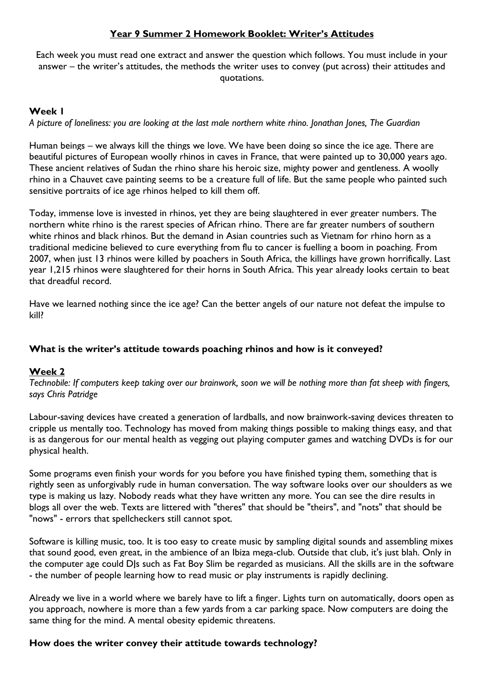## **Year 9 Summer 2 Homework Booklet: Writer's Attitudes**

Each week you must read one extract and answer the question which follows. You must include in your answer – the writer's attitudes, the methods the writer uses to convey (put across) their attitudes and quotations.

### **Week 1**

*A picture of loneliness: you are looking at the last male northern white rhino. Jonathan Jones, The Guardian*

Human beings – we always kill the things we love. We have been doing so since the ice age. There are beautiful pictures of European woolly rhinos in caves in France, that were painted up to 30,000 years ago. These ancient relatives of Sudan the rhino share his heroic size, mighty power and gentleness. [A woolly](http://upload.wikimedia.org/wikipedia/commons/6/6f/Rhinoc%C3%A9ros_grotte_Chauvet.jpg)  [rhino](http://upload.wikimedia.org/wikipedia/commons/6/6f/Rhinoc%C3%A9ros_grotte_Chauvet.jpg) in a Chauvet cave painting seems to be a creature full of life. But the same people who painted such sensitive portraits of ice age rhinos helped to kill them off.

Today, immense love is invested in rhinos, yet they are being slaughtered in ever greater numbers. The northern white rhino is the rarest species of African rhino. There are far greater numbers of southern white rhinos and black rhinos. But the demand in Asian countries such as Vietnam for rhino horn as a traditional medicine believed to cure everything from flu to cancer is fuelling a boom in poaching. From 2007, when just 13 rhinos were killed by poachers in South Africa, the killings have grown horrifically. Last year 1,215 rhinos were slaughtered for their horns in South Africa. This year already looks certain [to beat](https://www.theguardian.com/world/2015/may/11/rhino-poaching-in-south-africa-at-record-levels-following-18-rise-in-killings)  [that dreadful record.](https://www.theguardian.com/world/2015/may/11/rhino-poaching-in-south-africa-at-record-levels-following-18-rise-in-killings)

Have we learned nothing since the ice age? Can the better angels of our nature not defeat the impulse to kill?

### **What is the writer's attitude towards poaching rhinos and how is it conveyed?**

### **Week 2**

*Technobile: If computers keep taking over our brainwork, soon we will be nothing more than fat sheep with fingers, says Chris Patridge*

Labour-saving devices have created a generation of lardballs, and now brainwork-saving devices threaten to cripple us mentally too. Technology has moved from making things possible to making things easy, and that is as dangerous for our mental health as vegging out playing computer games and watching DVDs is for our physical health.

Some programs even finish your words for you before you have finished typing them, something that is rightly seen as unforgivably rude in human conversation. The way software looks over our shoulders as we type is making us lazy. Nobody reads what they have written any more. You can see the dire results in blogs all over the web. Texts are littered with "theres" that should be "theirs", and "nots" that should be "nows" - errors that spellcheckers still cannot spot.

Software is killing music, too. It is too easy to create music by sampling digital sounds and assembling mixes that sound good, even great, in the ambience of an Ibiza mega-club. Outside that club, it's just blah. Only in the computer age could DJs such as Fat Boy Slim be regarded as musicians. All the skills are in the software - the number of people learning how to read music or play instruments is rapidly declining.

Already we live in a world where we barely have to lift a finger. Lights turn on automatically, doors open as you approach, nowhere is more than a few yards from a car parking space. Now computers are doing the same thing for the mind. A mental obesity epidemic threatens.

### **How does the writer convey their attitude towards technology?**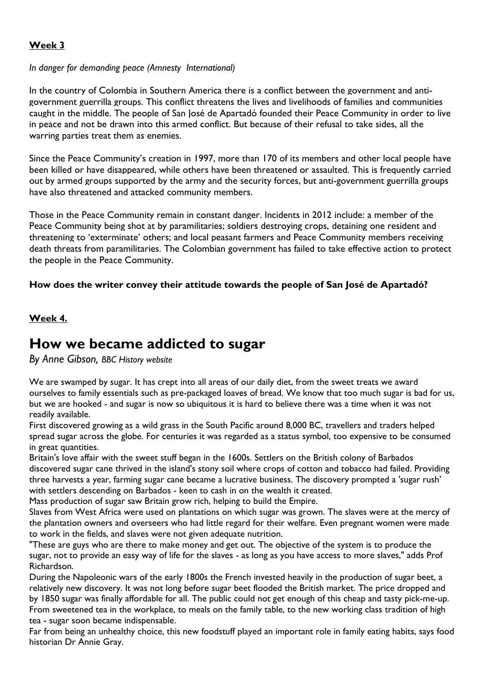## **Week 3**

### *In danger for demanding peace (Amnesty International)*

In the country of Colombia in Southern America there is a conflict between the government and antigovernment guerrilla groups. This conflict threatens the lives and livelihoods of families and communities caught in the middle. The people of San José de Apartadó founded their Peace Community in order to live in peace and not be drawn into this armed conflict. But because of their refusal to take sides, all the warring parties treat them as enemies.

Since the Peace Community's creation in 1997, more than 170 of its members and other local people have been killed or have disappeared, while others have been threatened or assaulted. This is frequently carried out by armed groups supported by the army and the security forces, but anti-government guerrilla groups have also threatened and attacked community members.

Those in the Peace Community remain in constant danger. Incidents in 2012 include: a member of the Peace Community being shot at by paramilitaries; soldiers destroying crops, detaining one resident and threatening to 'exterminate' others; and local peasant farmers and Peace Community members receiving death threats from paramilitaries. The Colombian government has failed to take effective action to protect the people in the Peace Community.

## **How does the writer convey their attitude towards the people of San José de Apartadó?**

## **Week 4.**

# **How we became addicted to sugar**

*By Anne Gibson, BBC History website* 

We are swamped by sugar. It has crept into all areas of our daily diet, from the sweet treats we award ourselves to family essentials such as pre-packaged loaves of bread. We know that too much sugar is bad for us, but we are hooked - and sugar is now so ubiquitous it is hard to believe there was a time when it was not readily available.

First discovered growing as a wild grass in the South Pacific around 8,000 BC, travellers and traders helped spread sugar across the globe. For centuries it was regarded as a status symbol, too expensive to be consumed in great quantities.

Britain's love affair with the sweet stuff began in the 1600s. Settlers on the British colony of Barbados discovered sugar cane thrived in the island's stony soil where crops of cotton and tobacco had failed. Providing three harvests a year, farming sugar cane became a lucrative business. The discovery prompted a 'sugar rush' with settlers descending on Barbados - keen to cash in on the wealth it created.

Mass production of sugar saw Britain grow rich, helping to build the Empire.

Slaves from West Africa were used on plantations on which sugar was grown. The slaves were at the mercy of the plantation owners and overseers who had little regard for their welfare. Even pregnant women were made to work in the fields, and slaves were not given adequate nutrition.

"These are guys who are there to make money and get out. The objective of the system is to produce the sugar, not to provide an easy way of life for the slaves - as long as you have access to more slaves," adds Prof Richardson.

During the Napoleonic wars of the early 1800s the French invested heavily in the production of sugar beet, a relatively new discovery. It was not long before sugar beet flooded the British market. The price dropped and by 1850 sugar was finally affordable for all. The public could not get enough of this cheap and tasty pick-me-up. From sweetened tea in the workplace, to meals on the family table, to the new working class tradition of high tea - sugar soon became indispensable.

Far from being an unhealthy choice, this new foodstuff played an important role in family eating habits, says food historian Dr Annie Gray.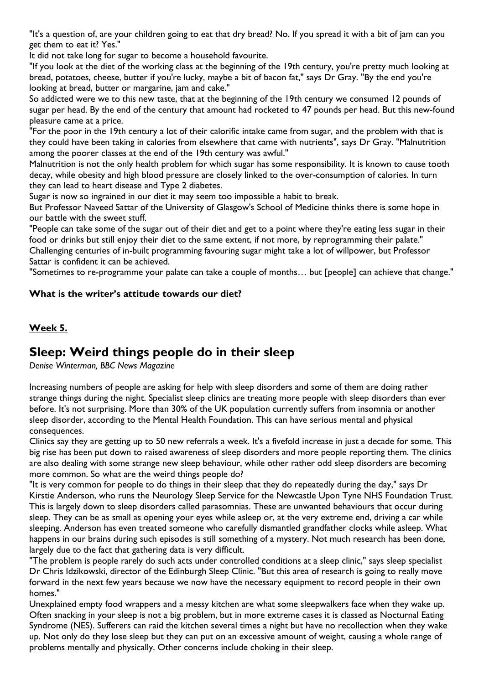"It's a question of, are your children going to eat that dry bread? No. If you spread it with a bit of jam can you get them to eat it? Yes."

It did not take long for sugar to become a household favourite.

"If you look at the diet of the working class at the beginning of the 19th century, you're pretty much looking at bread, potatoes, cheese, butter if you're lucky, maybe a bit of bacon fat," says Dr Gray. "By the end you're looking at bread, butter or margarine, jam and cake."

So addicted were we to this new taste, that at the beginning of the 19th century we consumed 12 pounds of sugar per head. By the end of the century that amount had rocketed to 47 pounds per head. But this new-found pleasure came at a price.

"For the poor in the 19th century a lot of their calorific intake came from sugar, and the problem with that is they could have been taking in calories from elsewhere that came with nutrients", says Dr Gray. "Malnutrition among the poorer classes at the end of the 19th century was awful."

Malnutrition is not the only health problem for which sugar has some responsibility. It is known to cause tooth decay, while obesity and high blood pressure are closely linked to the over-consumption of calories. In turn they can lead to heart disease and Type 2 diabetes.

Sugar is now so ingrained in our diet it may seem too impossible a habit to break.

But Professor Naveed Sattar of the University of Glasgow's School of Medicine thinks there is some hope in our battle with the sweet stuff.

"People can take some of the sugar out of their diet and get to a point where they're eating less sugar in their food or drinks but still enjoy their diet to the same extent, if not more, by reprogramming their palate." Challenging centuries of in-built programming favouring sugar might take a lot of willpower, but Professor Sattar is confident it can be achieved.

"Sometimes to re-programme your palate can take a couple of months… but [people] can achieve that change."

## **What is the writer's attitude towards our diet?**

## **Week 5.**

## **Sleep: Weird things people do in their sleep**

*Denise Winterman, BBC News Magazine* 

Increasing numbers of people are asking for help with sleep disorders and some of them are doing rather strange things during the night. Specialist sleep clinics are treating more people with sleep disorders than ever before. It's not surprising. More than 30% of the UK population currently suffers from insomnia or another sleep disorder, according to the Mental Health Foundation. This can have serious mental and physical consequences.

Clinics say they are getting up to 50 new referrals a week. It's a fivefold increase in just a decade for some. This big rise has been put down to raised awareness of sleep disorders and more people reporting them. The clinics are also dealing with some strange new sleep behaviour, while other rather odd sleep disorders are becoming more common. So what are the weird things people do?

"It is very common for people to do things in their sleep that they do repeatedly during the day," says Dr Kirstie Anderson, who runs the Neurology Sleep Service for the Newcastle Upon Tyne NHS Foundation Trust. This is largely down to sleep disorders called parasomnias. These are unwanted behaviours that occur during sleep. They can be as small as opening your eyes while asleep or, at the very extreme end, driving a car while sleeping. Anderson has even treated someone who carefully dismantled grandfather clocks while asleep. What happens in our brains during such episodes is still something of a mystery. Not much research has been done, largely due to the fact that gathering data is very difficult.

"The problem is people rarely do such acts under controlled conditions at a sleep clinic," says sleep specialist Dr Chris Idzikowski, director of the Edinburgh Sleep Clinic. "But this area of research is going to really move forward in the next few years because we now have the necessary equipment to record people in their own homes."

Unexplained empty food wrappers and a messy kitchen are what some sleepwalkers face when they wake up. Often snacking in your sleep is not a big problem, but in more extreme cases it is classed as Nocturnal Eating Syndrome (NES). Sufferers can raid the kitchen several times a night but have no recollection when they wake up. Not only do they lose sleep but they can put on an excessive amount of weight, causing a whole range of problems mentally and physically. Other concerns include choking in their sleep.